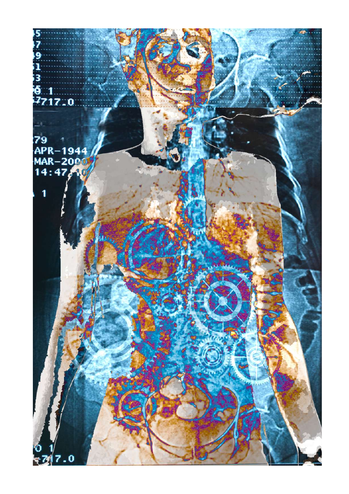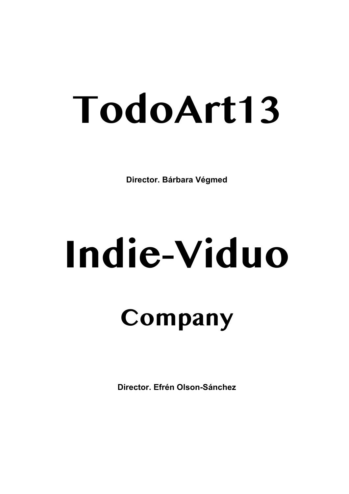# **TodoArt13**

**Director. Bárbara Végmed**

# **Indie-Viduo**

# **Company**

**Director. Efrén Olson-Sánchez**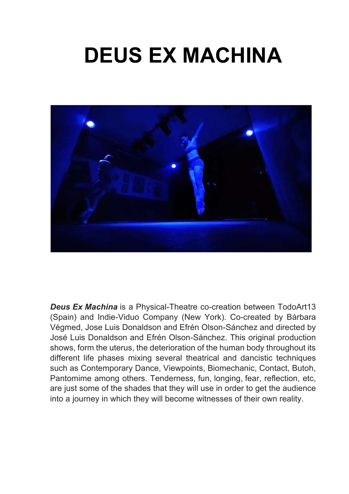# **DEUS EX MACHINA**



*Deus Ex Machina* is a Physical-Theatre co-creation between TodoArt13 (Spain) and Indie-Viduo Company (New York). Co-created by Bárbara Végmed, Jose Luis Donaldson and Efrén Olson-Sánchez and directed by José Luis Donaldson and Efrén Olson-Sánchez. This original production shows, form the uterus, the deterioration of the human body throughout its different life phases mixing several theatrical and dancistic techniques such as Contemporary Dance, Viewpoints, Biomechanic, Contact, Butoh, Pantomime among others. Tenderness, fun, longing, fear, reflection, etc, are just some of the shades that they will use in order to get the audience into a journey in which they will become witnesses of their own reality.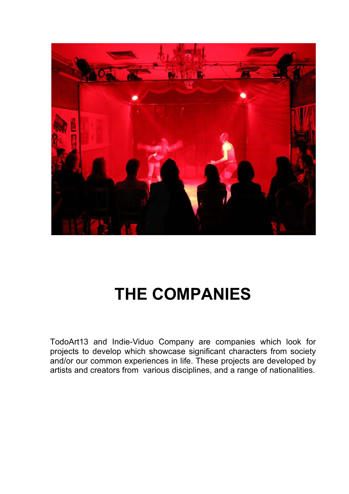

# **THE COMPANIES**

TodoArt13 and Indie-Viduo Company are companies which look for projects to develop which showcase significant characters from society and/or our common experiences in life. These projects are developed by artists and creators from various disciplines, and a range of nationalities.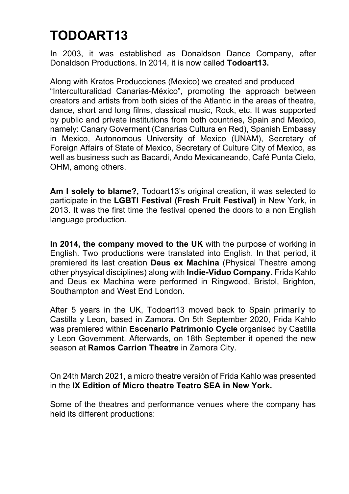# **TODOART13**

In 2003, it was established as Donaldson Dance Company, after Donaldson Productions. In 2014, it is now called **Todoart13.**

Along with Kratos Producciones (Mexico) we created and produced "Interculturalidad Canarias-México", promoting the approach between creators and artists from both sides of the Atlantic in the areas of theatre, dance, short and long films, classical music, Rock, etc. It was supported by public and private institutions from both countries, Spain and Mexico, namely: Canary Goverment (Canarias Cultura en Red), Spanish Embassy in Mexico, Autonomous University of Mexico (UNAM), Secretary of Foreign Affairs of State of Mexico, Secretary of Culture City of Mexico, as well as business such as Bacardi, Ando Mexicaneando, Café Punta Cielo, OHM, among others.

**Am I solely to blame?,** Todoart13's original creation, it was selected to participate in the **LGBTI Festival (Fresh Fruit Festival)** in New York, in 2013. It was the first time the festival opened the doors to a non English language production.

**In 2014, the company moved to the UK** with the purpose of working in English. Two productions were translated into English. In that period, it premiered its last creation **Deus ex Machina** (Physical Theatre among other physyical disciplines) along with **Indie-Viduo Company.** Frida Kahlo and Deus ex Machina were performed in Ringwood, Bristol, Brighton, Southampton and West End London.

After 5 years in the UK, Todoart13 moved back to Spain primarily to Castilla y Leon, based in Zamora. On 5th September 2020, Frida Kahlo was premiered within **Escenario Patrimonio Cycle** organised by Castilla y Leon Government. Afterwards, on 18th September it opened the new season at **Ramos Carrion Theatre** in Zamora City.

On 24th March 2021, a micro theatre versión of Frida Kahlo was presented in the **IX Edition of Micro theatre Teatro SEA in New York.**

Some of the theatres and performance venues where the company has held its different productions: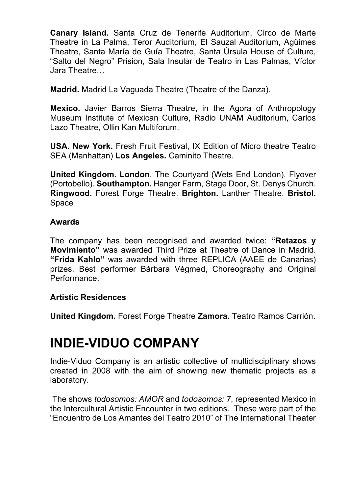**Canary Island.** Santa Cruz de Tenerife Auditorium, Circo de Marte Theatre in La Palma, Teror Auditorium, El Sauzal Auditorium, Agüimes Theatre, Santa María de Guía Theatre, Santa Úrsula House of Culture, "Salto del Negro" Prision, Sala Insular de Teatro in Las Palmas, Víctor Jara Theatre…

**Madrid.** Madrid La Vaguada Theatre (Theatre of the Danza).

**Mexico.** Javier Barros Sierra Theatre, in the Agora of Anthropology Museum Institute of Mexican Culture, Radio UNAM Auditorium, Carlos Lazo Theatre, Ollin Kan Multiforum.

**USA. New York.** Fresh Fruit Festival, IX Edition of Micro theatre Teatro SEA (Manhattan) **Los Angeles.** Caminito Theatre.

**United Kingdom. London**. The Courtyard (Wets End London), Flyover (Portobello). **Southampton.** Hanger Farm, Stage Door, St. Denys Church. **Ringwood.** Forest Forge Theatre. **Brighton.** Lanther Theatre. **Bristol.**  Space

#### **Awards**

The company has been recognised and awarded twice: **"Retazos y Movimiento"** was awarded Third Prize at Theatre of Dance in Madrid. **"Frida Kahlo"** was awarded with three REPLICA (AAEE de Canarias) prizes, Best performer Bárbara Végmed, Choreography and Original Performance.

#### **Artistic Residences**

**United Kingdom.** Forest Forge Theatre **Zamora.** Teatro Ramos Carrión.

# **INDIE-VIDUO COMPANY**

Indie-Viduo Company is an artistic collective of multidisciplinary shows created in 2008 with the aim of showing new thematic projects as a laboratory.

The shows *todosomos: AMOR* and *todosomos: 7*, represented Mexico in the Intercultural Artistic Encounter in two editions. These were part of the "Encuentro de Los Amantes del Teatro 2010" of The International Theater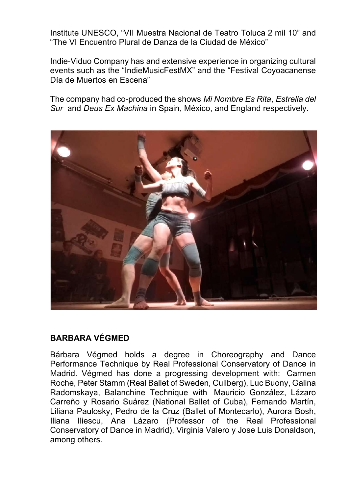Institute UNESCO, "VII Muestra Nacional de Teatro Toluca 2 mil 10" and "The VI Encuentro Plural de Danza de la Ciudad de México"

Indie-Viduo Company has and extensive experience in organizing cultural events such as the "IndieMusicFestMX" and the "Festival Coyoacanense Día de Muertos en Escena"

The company had co-produced the shows *Mi Nombre Es Rita*, *Estrella del Sur* and *Deus Ex Machina* in Spain, México, and England respectively.



### **BARBARA VÉGMED**

Bárbara Végmed holds a degree in Choreography and Dance Performance Technique by Real Professional Conservatory of Dance in Madrid. Végmed has done a progressing development with: Carmen Roche, Peter Stamm (Real Ballet of Sweden, Cullberg), Luc Buony, Galina Radomskaya, Balanchine Technique with Mauricio González, Lázaro Carreño y Rosario Suárez (National Ballet of Cuba), Fernando Martín, Liliana Paulosky, Pedro de la Cruz (Ballet of Montecarlo), Aurora Bosh, Iliana Iliescu, Ana Lázaro (Professor of the Real Professional Conservatory of Dance in Madrid), Virginia Valero y Jose Luis Donaldson, among others.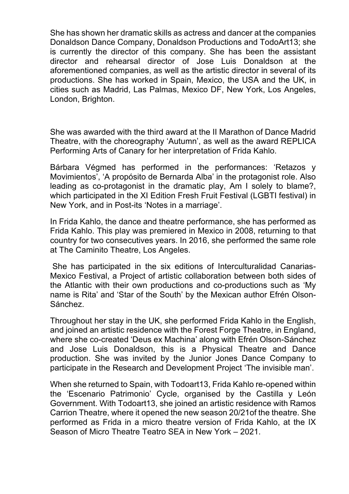She has shown her dramatic skills as actress and dancer at the companies Donaldson Dance Company, Donaldson Productions and TodoArt13; she is currently the director of this company. She has been the assistant director and rehearsal director of Jose Luis Donaldson at the aforementioned companies, as well as the artistic director in several of its productions. She has worked in Spain, Mexico, the USA and the UK, in cities such as Madrid, Las Palmas, Mexico DF, New York, Los Angeles, London, Brighton.

She was awarded with the third award at the II Marathon of Dance Madrid Theatre, with the choreography 'Autumn', as well as the award REPLICA Performing Arts of Canary for her interpretation of Frida Kahlo.

Bárbara Végmed has performed in the performances: 'Retazos y Movimientos', 'A propósito de Bernarda Alba' in the protagonist role. Also leading as co-protagonist in the dramatic play, Am I solely to blame?, which participated in the XI Edition Fresh Fruit Festival (LGBTI festival) in New York, and in Post-its 'Notes in a marriage'.

In Frida Kahlo, the dance and theatre performance, she has performed as Frida Kahlo. This play was premiered in Mexico in 2008, returning to that country for two consecutives years. In 2016, she performed the same role at The Caminito Theatre, Los Angeles.

She has participated in the six editions of Interculturalidad Canarias-Mexico Festival, a Project of artistic collaboration between both sides of the Atlantic with their own productions and co-productions such as 'My name is Rita' and 'Star of the South' by the Mexican author Efrén Olson-Sánchez.

Throughout her stay in the UK, she performed Frida Kahlo in the English, and joined an artistic residence with the Forest Forge Theatre, in England, where she co-created 'Deus ex Machina' along with Efrén Olson-Sánchez and Jose Luis Donaldson, this is a Physical Theatre and Dance production. She was invited by the Junior Jones Dance Company to participate in the Research and Development Project 'The invisible man'.

When she returned to Spain, with Todoart13, Frida Kahlo re-opened within the 'Escenario Patrimonio' Cycle, organised by the Castilla y León Government. With Todoart13, she joined an artistic residence with Ramos Carrion Theatre, where it opened the new season 20/21of the theatre. She performed as Frida in a micro theatre version of Frida Kahlo, at the IX Season of Micro Theatre Teatro SEA in New York – 2021.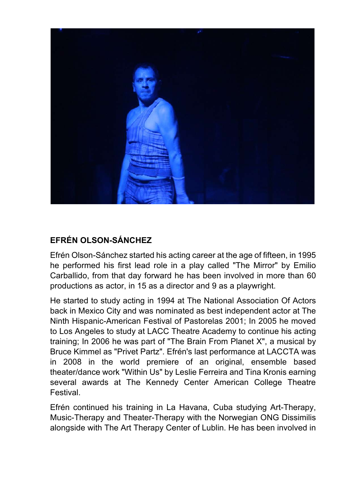

## **EFRÉN OLSON-SÁNCHEZ**

Efrén Olson-Sánchez started his acting career at the age of fifteen, in 1995 he performed his first lead role in a play called "The Mirror" by Emilio Carballido, from that day forward he has been involved in more than 60 productions as actor, in 15 as a director and 9 as a playwright.

He started to study acting in 1994 at The National Association Of Actors back in Mexico City and was nominated as best independent actor at The Ninth Hispanic-American Festival of Pastorelas 2001; In 2005 he moved to Los Angeles to study at LACC Theatre Academy to continue his acting training; In 2006 he was part of "The Brain From Planet X", a musical by Bruce Kimmel as "Privet Partz". Efrén's last performance at LACCTA was in 2008 in the world premiere of an original, ensemble based theater/dance work "Within Us" by Leslie Ferreira and Tina Kronis earning several awards at The Kennedy Center American College Theatre Festival.

Efrén continued his training in La Havana, Cuba studying Art-Therapy, Music-Therapy and Theater-Therapy with the Norwegian ONG Dissimilis alongside with The Art Therapy Center of Lublin. He has been involved in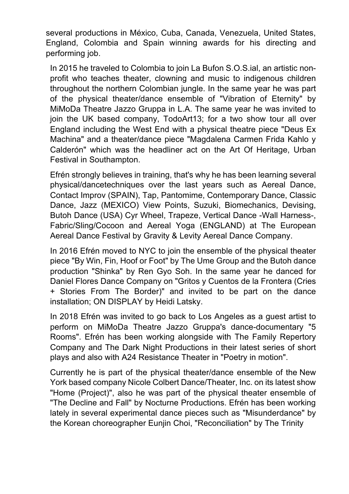several productions in México, Cuba, Canada, Venezuela, United States, England, Colombia and Spain winning awards for his directing and performing job.

In 2015 he traveled to Colombia to join La Bufon S.O.S.ial, an artistic nonprofit who teaches theater, clowning and music to indigenous children throughout the northern Colombian jungle. In the same year he was part of the physical theater/dance ensemble of "Vibration of Eternity" by MiMoDa Theatre Jazzo Gruppa in L.A. The same year he was invited to join the UK based company, TodoArt13; for a two show tour all over England including the West End with a physical theatre piece "Deus Ex Machina" and a theater/dance piece "Magdalena Carmen Frida Kahlo y Calderón" which was the headliner act on the Art Of Heritage, Urban Festival in Southampton.

Efrén strongly believes in training, that's why he has been learning several physical/dancetechniques over the last years such as Aereal Dance, Contact Improv (SPAIN), Tap, Pantomime, Contemporary Dance, Classic Dance, Jazz (MEXICO) View Points, Suzuki, Biomechanics, Devising, Butoh Dance (USA) Cyr Wheel, Trapeze, Vertical Dance -Wall Harness-, Fabric/Sling/Cocoon and Aereal Yoga (ENGLAND) at The European Aereal Dance Festival by Gravity & Levity Aereal Dance Company.

In 2016 Efrén moved to NYC to join the ensemble of the physical theater piece "By Win, Fin, Hoof or Foot" by The Ume Group and the Butoh dance production "Shinka" by Ren Gyo Soh. In the same year he danced for Daniel Flores Dance Company on "Gritos y Cuentos de la Frontera (Cries + Stories From The Border)" and invited to be part on the dance installation; ON DISPLAY by Heidi Latsky.

In 2018 Efrén was invited to go back to Los Angeles as a guest artist to perform on MiMoDa Theatre Jazzo Gruppa's dance-documentary "5 Rooms". Efrén has been working alongside with The Family Repertory Company and The Dark Night Productions in their latest series of short plays and also with A24 Resistance Theater in "Poetry in motion".

Currently he is part of the physical theater/dance ensemble of the New York based company Nicole Colbert Dance/Theater, Inc. on its latest show "Home (Project)", also he was part of the physical theater ensemble of "The Decline and Fall" by Nocturne Productions. Efrén has been working lately in several experimental dance pieces such as "Misunderdance" by the Korean choreographer Eunjin Choi, "Reconciliation" by The Trinity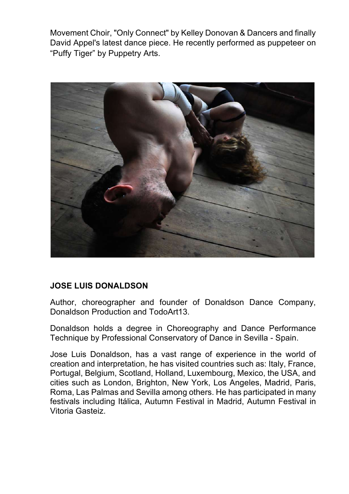Movement Choir, "Only Connect" by Kelley Donovan & Dancers and finally David Appel's latest dance piece. He recently performed as puppeteer on "Puffy Tiger" by Puppetry Arts.



#### **JOSE LUIS DONALDSON**

Author, choreographer and founder of Donaldson Dance Company, Donaldson Production and TodoArt13.

Donaldson holds a degree in Choreography and Dance Performance Technique by Professional Conservatory of Dance in Sevilla - Spain.

Jose Luis Donaldson, has a vast range of experience in the world of creation and interpretation, he has visited countries such as: Italy, France, Portugal, Belgium, Scotland, Holland, Luxembourg, Mexico, the USA, and cities such as London, Brighton, New York, Los Angeles, Madrid, Paris, Roma, Las Palmas and Sevilla among others. He has participated in many festivals including Itálica, Autumn Festival in Madrid, Autumn Festival in Vitoria Gasteiz.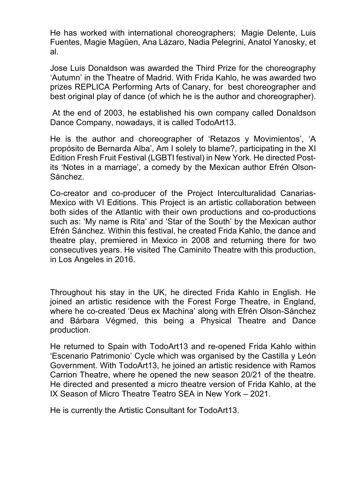He has worked with international choreographers; Magie Delente, Luis Fuentes, Magie Magüen, Ana Lázaro, Nadia Pelegrini, Anatol Yanosky, et al.

Jose Luis Donaldson was awarded the Third Prize for the choreography 'Autumn' in the Theatre of Madrid. With Frida Kahlo, he was awarded two prizes REPLICA Performing Arts of Canary, for best choreographer and best original play of dance (of which he is the author and choreographer).

At the end of 2003, he established his own company called Donaldson Dance Company, nowadays, it is called TodoArt13.

He is the author and choreographer of 'Retazos y Movimientos', 'A propósito de Bernarda Alba', Am I solely to blame?, participating in the XI Edition Fresh Fruit Festival (LGBTI festival) in New York. He directed Postits 'Notes in a marriage', a comedy by the Mexican author Efrén Olson-Sánchez.

Co-creator and co-producer of the Project Interculturalidad Canarias-Mexico with VI Editions. This Project is an artistic collaboration between both sides of the Atlantic with their own productions and co-productions such as: 'My name is Rita' and 'Star of the South' by the Mexican author Efrén Sánchez. Within this festival, he created Frida Kahlo, the dance and theatre play, premiered in Mexico in 2008 and returning there for two consecutives years. He visited The Caminito Theatre with this production, in Los Angeles in 2016.

Throughout his stay in the UK, he directed Frida Kahlo in English. He joined an artistic residence with the Forest Forge Theatre, in England, where he co-created 'Deus ex Machina' along with Efrén Olson-Sánchez and Bárbara Végmed, this being a Physical Theatre and Dance production.

He returned to Spain with TodoArt13 and re-opened Frida Kahlo within 'Escenario Patrimonio' Cycle which was organised by the Castilla y León Government. With TodoArt13, he joined an artistic residence with Ramos Carrion Theatre, where he opened the new season 20/21 of the theatre. He directed and presented a micro theatre version of Frida Kahlo, at the IX Season of Micro Theatre Teatro SEA in New York – 2021.

He is currently the Artistic Consultant for TodoArt13.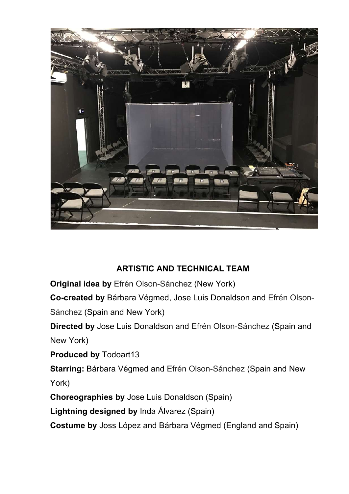

## **ARTISTIC AND TECHNICAL TEAM**

**Original idea by** Efrén Olson-Sánchez (New York)

**Co-created by** Bárbara Végmed, Jose Luis Donaldson and Efrén Olson-

Sánchez (Spain and New York)

**Directed by** Jose Luis Donaldson and Efrén Olson-Sánchez (Spain and New York)

**Produced by** Todoart13

**Starring:** Bárbara Végmed and Efrén Olson-Sánchez (Spain and New

York)

**Choreographies by** Jose Luis Donaldson (Spain)

**Lightning designed by** Inda Álvarez (Spain)

**Costume by** Joss López and Bárbara Végmed (England and Spain)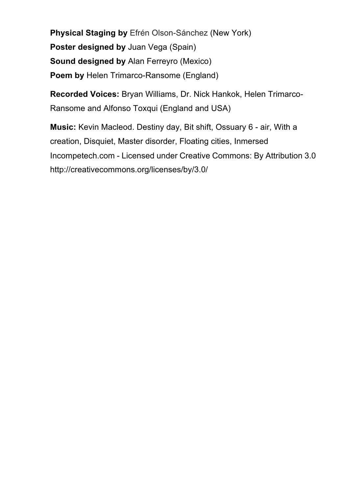**Physical Staging by** Efrén Olson-Sánchez (New York) **Poster designed by** Juan Vega (Spain) **Sound designed by** Alan Ferreyro (Mexico) **Poem by** Helen Trimarco-Ransome (England)

**Recorded Voices:** Bryan Williams, Dr. Nick Hankok, Helen Trimarco-Ransome and Alfonso Toxqui (England and USA)

**Music:** Kevin Macleod. Destiny day, Bit shift, Ossuary 6 - air, With a creation, Disquiet, Master disorder, Floating cities, Inmersed Incompetech.com - Licensed under Creative Commons: By Attribution 3.0 http://creativecommons.org/licenses/by/3.0/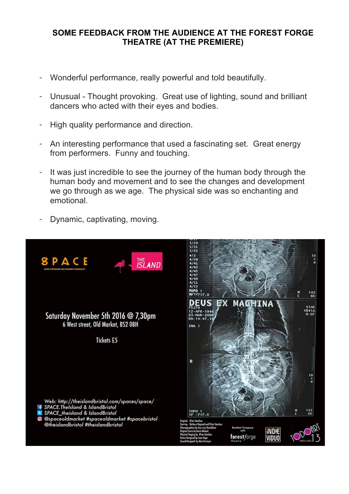#### **SOME FEEDBACK FROM THE AUDIENCE AT THE FOREST FORGE THEATRE (AT THE PREMIERE)**

- Wonderful performance, really powerful and told beautifully.
- Unusual Thought provoking. Great use of lighting, sound and brilliant dancers who acted with their eyes and bodies.
- High quality performance and direction.
- An interesting performance that used a fascinating set. Great energy from performers. Funny and touching.
- It was just incredible to see the journey of the human body through the human body and movement and to see the changes and development we go through as we age. The physical side was so enchanting and emotional.
- Dynamic, captivating, moving.

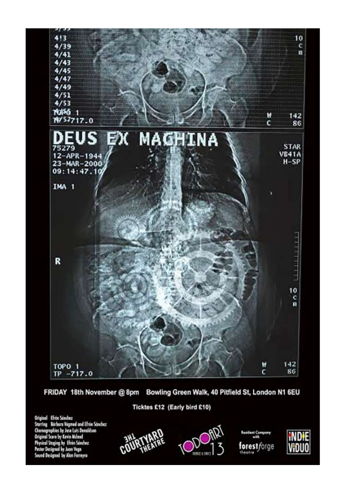

FRIDAY 18th November @ 8pm Bowling Green Walk, 40 Pitfield St, London N1 6EU

Ticktes £12 (Early bird £10)

Original Efrên Súachez Ungawas - Erron Saachez<br>Storring - Bárbern Wigmed and Efrie Sónchez<br>Chamographies by Jase Luis Doenidison<br>Original Stare by Kevin Mclood<br>Physical Stoging by Efrien Sénchez<br>Pastar Designad by Joan Vugn<br>Sound Designad by Joa





**Resident Compony** forest forge

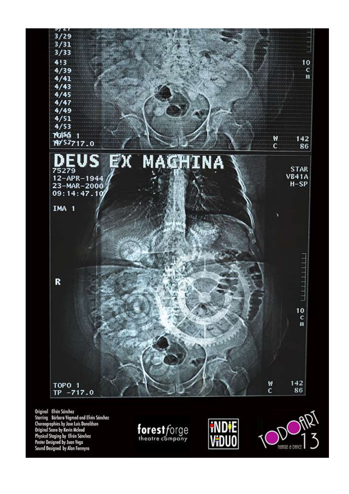

Original - Efrén Sánchez<br>Starring - Bárbara Végmed and Efrén Sánchez<br>Choreographies by Jose Luis Donaldson<br>Original Score by Kevin Mcleod<br>Physical Staging by Efrén Sánchez<br>Poster Designed by Juan Vega<br>Sound Designed by Ala

forestforge



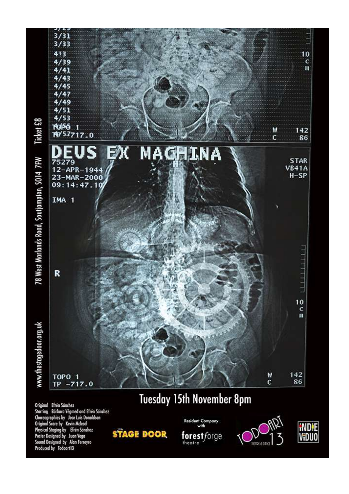

## **Tuesday 15th November 8pm**

Original – Efrén Sánchez<br>Starring – Bárbara Végmed and Efrén Sánchez<br>Choreographies by – Jose Luis Donaldson<br>Original Starring In: – Efrén Sánchez<br>Physical Starring In: – Efrén Sánchez Physical Staging by Revin Michael<br>Physical Staging by Efren Sänchez<br>Poster Designed by Juan Vega<br>Sound Designed by Alan Ferreyro<br>Produced by Todoort13

## **STAGE DOOR**

Resident Company<br>with

forestforge